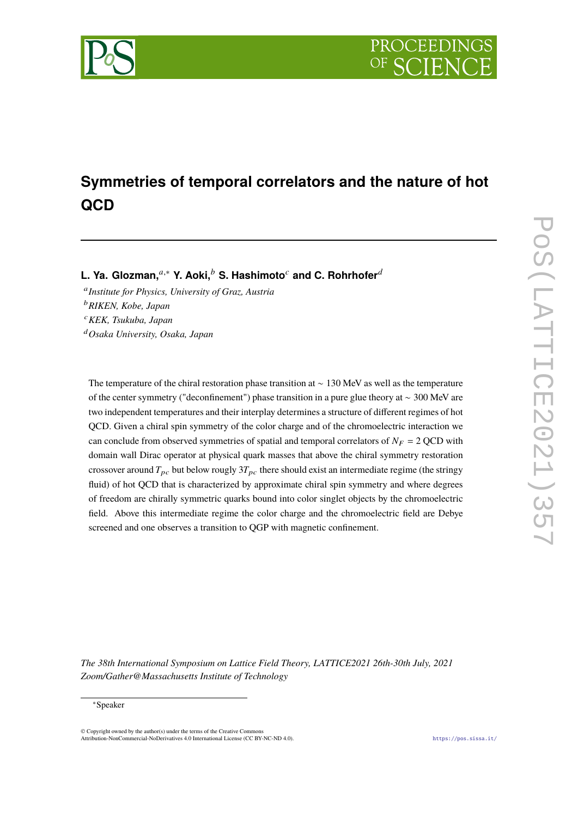

# **Symmetries of temporal correlators and the nature of hot QCD**

**L. Ya. Glozman,**<sup>a,∗</sup> Y. Aoki,<sup>b</sup> S. Hashimoto<sup>c</sup> and C. Rohrhofer<sup>d</sup>

𝑎 *Institute for Physics, University of Graz, Austria* <sup>𝑏</sup>*RIKEN, Kobe, Japan* <sup>𝑐</sup>*KEK, Tsukuba, Japan* <sup>𝑑</sup>*Osaka University, Osaka, Japan*

The temperature of the chiral restoration phase transition at ∼ 130 MeV as well as the temperature of the center symmetry ("deconfinement") phase transition in a pure glue theory at ∼ 300 MeV are two independent temperatures and their interplay determines a structure of different regimes of hot QCD. Given a chiral spin symmetry of the color charge and of the chromoelectric interaction we can conclude from observed symmetries of spatial and temporal correlators of  $N_F = 2$  QCD with domain wall Dirac operator at physical quark masses that above the chiral symmetry restoration crossover around  $T_{pc}$  but below rougly  $3T_{pc}$  there should exist an intermediate regime (the stringy fluid) of hot QCD that is characterized by approximate chiral spin symmetry and where degrees of freedom are chirally symmetric quarks bound into color singlet objects by the chromoelectric field. Above this intermediate regime the color charge and the chromoelectric field are Debye screened and one observes a transition to QGP with magnetic confinement.

*The 38th International Symposium on Lattice Field Theory, LATTICE2021 26th-30th July, 2021 Zoom/Gather@Massachusetts Institute of Technology*

#### <sup>∗</sup>Speaker

 $\odot$  Copyright owned by the author(s) under the terms of the Creative Common Attribution-NonCommercial-NoDerivatives 4.0 International License (CC BY-NC-ND 4.0). <https://pos.sissa.it/>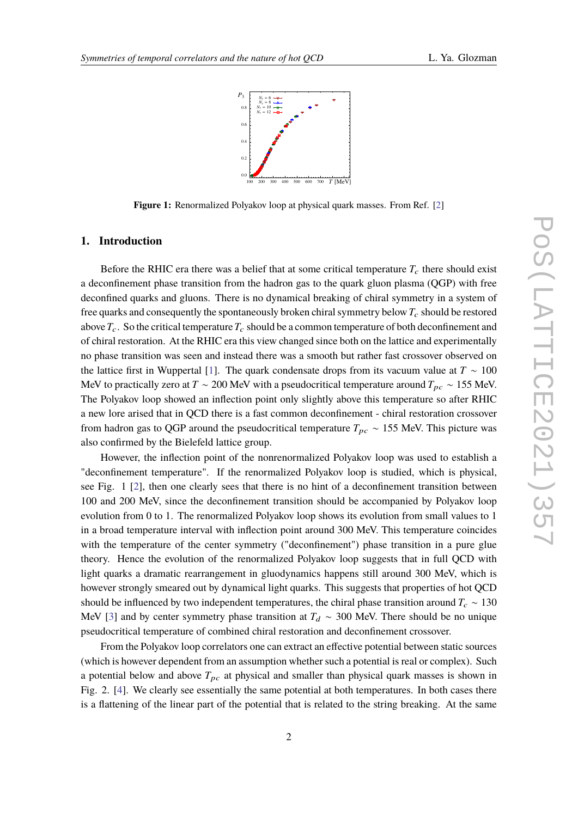

**Figure 1:** Renormalized Polyakov loop at physical quark masses. From Ref. [\[2\]](#page-7-0)

## **1. Introduction**

Before the RHIC era there was a belief that at some critical temperature  $T_c$  there should exist a deconfinement phase transition from the hadron gas to the quark gluon plasma (QGP) with free deconfined quarks and gluons. There is no dynamical breaking of chiral symmetry in a system of free quarks and consequently the spontaneously broken chiral symmetry below  $T_c$  should be restored above  $T_c$ . So the critical temperature  $T_c$  should be a common temperature of both deconfinement and of chiral restoration. At the RHIC era this view changed since both on the lattice and experimentally no phase transition was seen and instead there was a smooth but rather fast crossover observed on the lattice first in Wuppertal [\[1\]](#page-7-1). The quark condensate drops from its vacuum value at  $T \sim 100$ MeV to practically zero at  $T \sim 200$  MeV with a pseudocritical temperature around  $T_{pc} \sim 155$  MeV. The Polyakov loop showed an inflection point only slightly above this temperature so after RHIC a new lore arised that in QCD there is a fast common deconfinement - chiral restoration crossover from hadron gas to QGP around the pseudocritical temperature  $T_{pc} \sim 155$  MeV. This picture was also confirmed by the Bielefeld lattice group.

However, the inflection point of the nonrenormalized Polyakov loop was used to establish a "deconfinement temperature". If the renormalized Polyakov loop is studied, which is physical, see Fig. 1 [\[2\]](#page-7-0), then one clearly sees that there is no hint of a deconfinement transition between 100 and 200 MeV, since the deconfinement transition should be accompanied by Polyakov loop evolution from 0 to 1. The renormalized Polyakov loop shows its evolution from small values to 1 in a broad temperature interval with inflection point around 300 MeV. This temperature coincides with the temperature of the center symmetry ("deconfinement") phase transition in a pure glue theory. Hence the evolution of the renormalized Polyakov loop suggests that in full QCD with light quarks a dramatic rearrangement in gluodynamics happens still around 300 MeV, which is however strongly smeared out by dynamical light quarks. This suggests that properties of hot QCD should be influenced by two independent temperatures, the chiral phase transition around  $T_c \sim 130$ MeV [\[3\]](#page-7-2) and by center symmetry phase transition at  $T_d \sim 300$  MeV. There should be no unique pseudocritical temperature of combined chiral restoration and deconfinement crossover.

From the Polyakov loop correlators one can extract an effective potential between static sources (which is however dependent from an assumption whether such a potential is real or complex). Such a potential below and above  $T_{pc}$  at physical and smaller than physical quark masses is shown in Fig. 2. [\[4\]](#page-7-3). We clearly see essentially the same potential at both temperatures. In both cases there is a flattening of the linear part of the potential that is related to the string breaking. At the same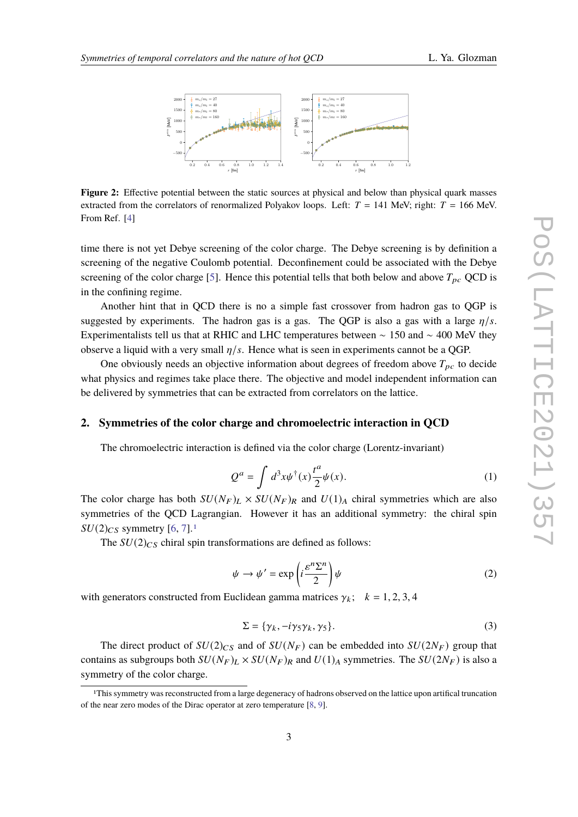

**Figure 2:** Effective potential between the static sources at physical and below than physical quark masses extracted from the correlators of renormalized Polyakov loops. Left:  $T = 141$  MeV; right:  $T = 166$  MeV. From Ref. [\[4\]](#page-7-3)

time there is not yet Debye screening of the color charge. The Debye screening is by definition a screening of the negative Coulomb potential. Deconfinement could be associated with the Debye screening of the color charge [\[5\]](#page-7-4). Hence this potential tells that both below and above  $T_{pc}$  QCD is in the confining regime.

Another hint that in QCD there is no a simple fast crossover from hadron gas to QGP is suggested by experiments. The hadron gas is a gas. The QGP is also a gas with a large  $\eta/s$ . Experimentalists tell us that at RHIC and LHC temperatures between  $\sim 150$  and  $\sim 400$  MeV they observe a liquid with a very small  $\eta/s$ . Hence what is seen in experiments cannot be a QGP.

One obviously needs an objective information about degrees of freedom above  $T_{pc}$  to decide what physics and regimes take place there. The objective and model independent information can be delivered by symmetries that can be extracted from correlators on the lattice.

#### **2. Symmetries of the color charge and chromoelectric interaction in QCD**

The chromoelectric interaction is defined via the color charge (Lorentz-invariant)

$$
Q^{a} = \int d^{3}x \psi^{\dagger}(x) \frac{t^{a}}{2} \psi(x).
$$
 (1)

The color charge has both  $SU(N_F)_L \times SU(N_F)_R$  and  $U(1)_A$  chiral symmetries which are also symmetries of the QCD Lagrangian. However it has an additional symmetry: the chiral spin  $SU(2)_{CS}$  symmetry [\[6,](#page-7-5) [7\]](#page-7-6).<sup>[1](#page-2-0)</sup>

The  $SU(2)_{CS}$  chiral spin transformations are defined as follows:

$$
\psi \to \psi' = \exp\left(i\frac{\varepsilon^n \Sigma^n}{2}\right)\psi\tag{2}
$$

with generators constructed from Euclidean gamma matrices  $\gamma_k$ ;  $k = 1, 2, 3, 4$ 

$$
\Sigma = \{ \gamma_k, -i\gamma_5\gamma_k, \gamma_5 \}. \tag{3}
$$

The direct product of  $SU(2)_{\text{CS}}$  and of  $SU(N_F)$  can be embedded into  $SU(2N_F)$  group that contains as subgroups both  $SU(N_F)_L \times SU(N_F)_R$  and  $U(1)_A$  symmetries. The  $SU(2N_F)$  is also a symmetry of the color charge.

<span id="page-2-0"></span><sup>1</sup>This symmetry was reconstructed from a large degeneracy of hadrons observed on the lattice upon artifical truncation of the near zero modes of the Dirac operator at zero temperature [\[8,](#page-7-7) [9\]](#page-7-8).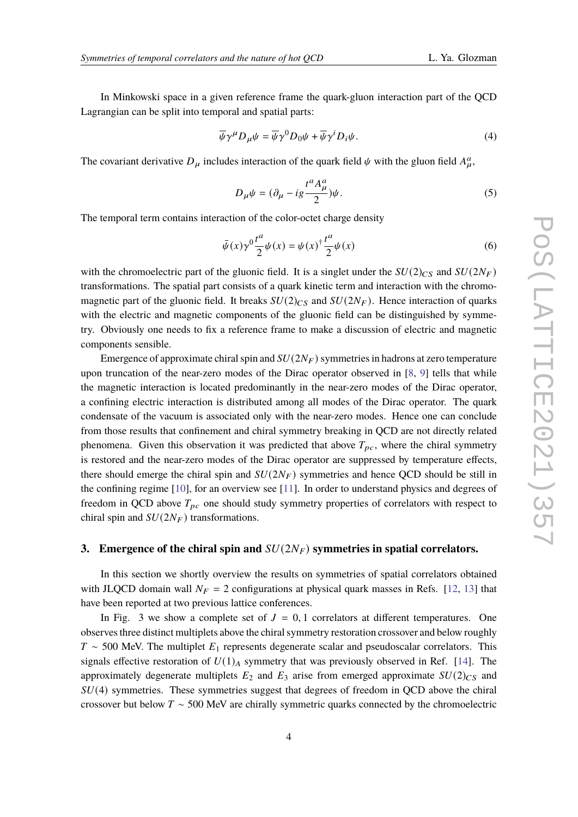In Minkowski space in a given reference frame the quark-gluon interaction part of the QCD Lagrangian can be split into temporal and spatial parts:

$$
\overline{\psi}\gamma^{\mu}D_{\mu}\psi = \overline{\psi}\gamma^{0}D_{0}\psi + \overline{\psi}\gamma^{i}D_{i}\psi.
$$
\n(4)

The covariant derivative  $D_{\mu}$  includes interaction of the quark field  $\psi$  with the gluon field  $A_{\mu}^a$ ,

$$
D_{\mu}\psi = (\partial_{\mu} - ig \frac{t^{a} A_{\mu}^{a}}{2})\psi.
$$
\n<sup>(5)</sup>

The temporal term contains interaction of the color-octet charge density

$$
\bar{\psi}(x)\gamma^0 \frac{t^a}{2}\psi(x) = \psi(x)^{\dagger} \frac{t^a}{2}\psi(x)
$$
\n(6)

with the chromoelectric part of the gluonic field. It is a singlet under the  $SU(2)_{\text{CS}}$  and  $SU(2N_F)$ transformations. The spatial part consists of a quark kinetic term and interaction with the chromomagnetic part of the gluonic field. It breaks  $SU(2)_{CS}$  and  $SU(2N_F)$ . Hence interaction of quarks with the electric and magnetic components of the gluonic field can be distinguished by symmetry. Obviously one needs to fix a reference frame to make a discussion of electric and magnetic components sensible.

Emergence of approximate chiral spin and  $SU(2N_F)$  symmetries in hadrons at zero temperature upon truncation of the near-zero modes of the Dirac operator observed in [\[8,](#page-7-7) [9\]](#page-7-8) tells that while the magnetic interaction is located predominantly in the near-zero modes of the Dirac operator, a confining electric interaction is distributed among all modes of the Dirac operator. The quark condensate of the vacuum is associated only with the near-zero modes. Hence one can conclude from those results that confinement and chiral symmetry breaking in QCD are not directly related phenomena. Given this observation it was predicted that above  $T_{pc}$ , where the chiral symmetry is restored and the near-zero modes of the Dirac operator are suppressed by temperature effects, there should emerge the chiral spin and  $SU(2N_F)$  symmetries and hence QCD should be still in the confining regime [\[10\]](#page-7-9), for an overview see [\[11\]](#page-7-10). In order to understand physics and degrees of freedom in QCD above  $T_{pc}$  one should study symmetry properties of correlators with respect to chiral spin and  $SU(2N_F)$  transformations.

#### **3. Emergence of the chiral spin and**  $SU(2N_F)$  symmetries in spatial correlators.

In this section we shortly overview the results on symmetries of spatial correlators obtained with JLQCD domain wall  $N_F = 2$  configurations at physical quark masses in Refs. [\[12,](#page-7-11) [13\]](#page-7-12) that have been reported at two previous lattice conferences.

In Fig. 3 we show a complete set of  $J = 0, 1$  correlators at different temperatures. One observes three distinct multiplets above the chiral symmetry restoration crossover and below roughly  $T \sim 500$  MeV. The multiplet  $E_1$  represents degenerate scalar and pseudoscalar correlators. This signals effective restoration of  $U(1)_A$  symmetry that was previously observed in Ref. [\[14\]](#page-7-13). The approximately degenerate multiplets  $E_2$  and  $E_3$  arise from emerged approximate  $SU(2)_{CS}$  and  $SU(4)$  symmetries. These symmetries suggest that degrees of freedom in QCD above the chiral crossover but below  $T \sim 500$  MeV are chirally symmetric quarks connected by the chromoelectric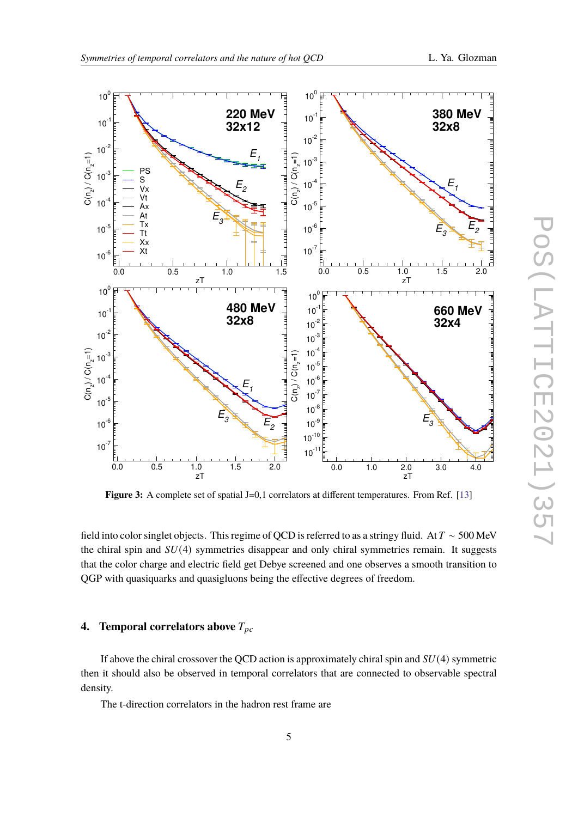

**Figure 3:** A complete set of spatial J=0,1 correlators at different temperatures. From Ref. [\[13\]](#page-7-12)

field into color singlet objects. This regime of QCD is referred to as a stringy fluid. At  $T \sim 500$  MeV the chiral spin and  $SU(4)$  symmetries disappear and only chiral symmetries remain. It suggests that the color charge and electric field get Debye screened and one observes a smooth transition to QGP with quasiquarks and quasigluons being the effective degrees of freedom.

# **4. Temporal correlators above**  $T_{pc}$

If above the chiral crossover the QCD action is approximately chiral spin and  $SU(4)$  symmetric then it should also be observed in temporal correlators that are connected to observable spectral density.

The t-direction correlators in the hadron rest frame are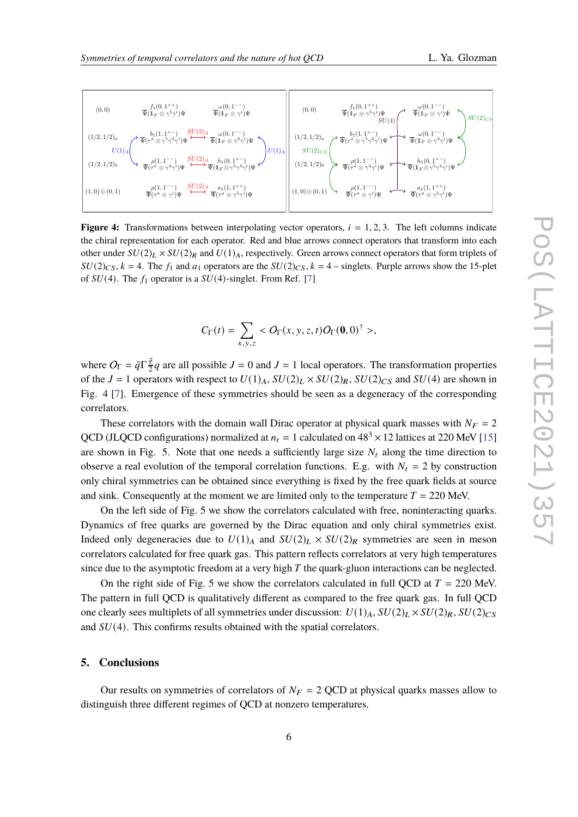

**Figure 4:** Transformations between interpolating vector operators,  $i = 1, 2, 3$ . The left columns indicate the chiral representation for each operator. Red and blue arrows connect operators that transform into each other under  $SU(2)_L \times SU(2)_R$  and  $U(1)_A$ , respectively. Green arrows connect operators that form triplets of  $SU(2)_{CS}$ ,  $k = 4$ . The  $f_1$  and  $a_1$  operators are the  $SU(2)_{CS}$ ,  $k = 4$  – singlets. Purple arrows show the 15-plet of  $SU(4)$ . The  $f_1$  operator is a  $SU(4)$ -singlet. From Ref. [\[7\]](#page-7-6)

$$
C_{\Gamma}(t)=\sum_{x,y,z},
$$

where  $O_{\Gamma} = \bar{q} \Gamma \frac{\vec{\tau}}{2}$  $\frac{\vec{\tau}}{2}q$  are all possible  $J = 0$  and  $J = 1$  local operators. The transformation properties of the  $J = 1$  operators with respect to  $U(1)_A$ ,  $SU(2)_L \times SU(2)_R$ ,  $SU(2)_C$  and  $SU(4)$  are shown in Fig. 4 [\[7\]](#page-7-6). Emergence of these symmetries should be seen as a degeneracy of the corresponding correlators.

These correlators with the domain wall Dirac operator at physical quark masses with  $N_F = 2$ QCD (JLQCD configurations) normalized at  $n_t = 1$  calculated on  $48<sup>3</sup> \times 12$  lattices at 220 MeV [\[15\]](#page-7-14) are shown in Fig. 5. Note that one needs a sufficiently large size  $N_t$  along the time direction to observe a real evolution of the temporal correlation functions. E.g. with  $N_t = 2$  by construction only chiral symmetries can be obtained since everything is fixed by the free quark fields at source and sink. Consequently at the moment we are limited only to the temperature  $T = 220$  MeV.

On the left side of Fig. 5 we show the correlators calculated with free, noninteracting quarks. Dynamics of free quarks are governed by the Dirac equation and only chiral symmetries exist. Indeed only degeneracies due to  $U(1)_A$  and  $SU(2)_L \times SU(2)_R$  symmetries are seen in meson correlators calculated for free quark gas. This pattern reflects correlators at very high temperatures since due to the asymptotic freedom at a very high  $T$  the quark-gluon interactions can be neglected.

On the right side of Fig. 5 we show the correlators calculated in full OCD at  $T = 220$  MeV. The pattern in full QCD is qualitatively different as compared to the free quark gas. In full QCD one clearly sees multiplets of all symmetries under discussion:  $U(1)_A$ ,  $SU(2)_L \times SU(2)_R$ ,  $SU(2)_C$ and  $SU(4)$ . This confirms results obtained with the spatial correlators.

## **5. Conclusions**

Our results on symmetries of correlators of  $N_F = 2$  QCD at physical quarks masses allow to distinguish three different regimes of QCD at nonzero temperatures.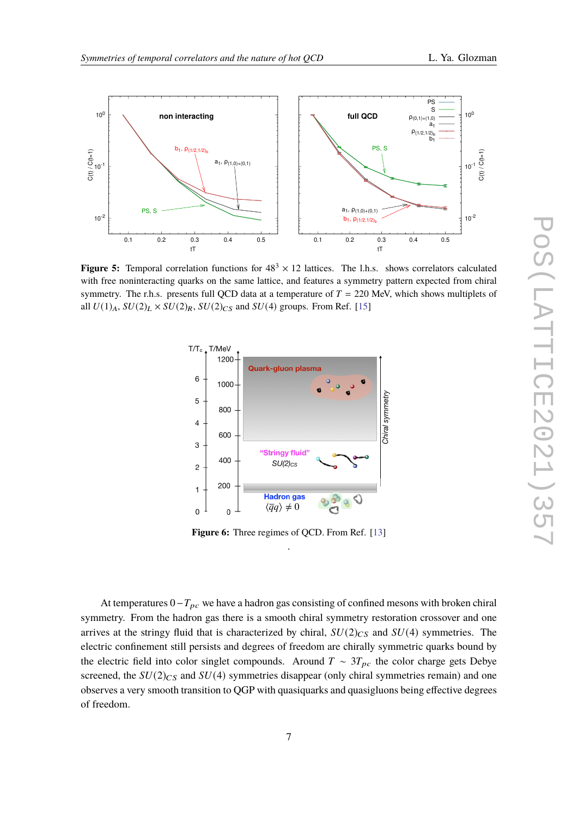

**Figure 5:** Temporal correlation functions for  $48^3 \times 12$  lattices. The l.h.s. shows correlators calculated with free noninteracting quarks on the same lattice, and features a symmetry pattern expected from chiral symmetry. The r.h.s. presents full QCD data at a temperature of  $T = 220$  MeV, which shows multiplets of all  $U(1)_A$ ,  $SU(2)_L \times SU(2)_R$ ,  $SU(2)_C$  and  $SU(4)$  groups. From Ref. [\[15\]](#page-7-14)



**Figure 6:** Three regimes of QCD. From Ref. [\[13\]](#page-7-12) .

At temperatures  $0-T_{pc}$  we have a hadron gas consisting of confined mesons with broken chiral symmetry. From the hadron gas there is a smooth chiral symmetry restoration crossover and one arrives at the stringy fluid that is characterized by chiral,  $SU(2)_{CS}$  and  $SU(4)$  symmetries. The electric confinement still persists and degrees of freedom are chirally symmetric quarks bound by the electric field into color singlet compounds. Around  $T \sim 3T_{pc}$  the color charge gets Debye screened, the  $SU(2)_{CS}$  and  $SU(4)$  symmetries disappear (only chiral symmetries remain) and one observes a very smooth transition to QGP with quasiquarks and quasigluons being effective degrees of freedom.